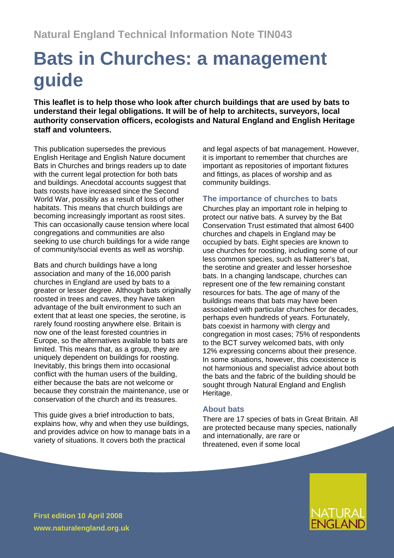# **Bats in Churches: a management guide**

**This leaflet is to help those who look after church buildings that are used by bats to understand their legal obligations. It will be of help to architects, surveyors, local authority conservation officers, ecologists and Natural England and English Heritage staff and volunteers.** 

This publication supersedes the previous English Heritage and English Nature document Bats in Churches and brings readers up to date with the current legal protection for both bats and buildings. Anecdotal accounts suggest that bats roosts have increased since the Second World War, possibly as a result of loss of other habitats. This means that church buildings are becoming increasingly important as roost sites. This can occasionally cause tension where local congregations and communities are also seeking to use church buildings for a wide range of community/social events as well as worship.

Bats and church buildings have a long association and many of the 16,000 parish churches in England are used by bats to a greater or lesser degree. Although bats originally roosted in trees and caves, they have taken advantage of the built environment to such an extent that at least one species, the serotine, is rarely found roosting anywhere else. Britain is now one of the least forested countries in Europe, so the alternatives available to bats are limited. This means that, as a group, they are uniquely dependent on buildings for roosting. Inevitably, this brings them into occasional conflict with the human users of the building, either because the bats are not welcome or because they constrain the maintenance, use or conservation of the church and its treasures.

This quide gives a brief introduction to bats, explains how, why and when they use buildings, and provides advice on how to manage bats in a variety of situations. It covers both the practical

and legal aspects of bat management. However, it is important to remember that churches are important as repositories of important fixtures and fittings, as places of worship and as community buildings.

## **The importance of churches to bats**

Churches play an important role in helping to protect our native bats. A survey by the Bat Conservation Trust estimated that almost 6400 churches and chapels in England may be occupied by bats. Eight species are known to use churches for roosting, including some of our less common species, such as Natterer's bat, the serotine and greater and lesser horseshoe bats. In a changing landscape, churches can represent one of the few remaining constant resources for bats. The age of many of the buildings means that bats may have been associated with particular churches for decades, perhaps even hundreds of years. Fortunately, bats coexist in harmony with clergy and congregation in most cases; 75% of respondents to the BCT survey welcomed bats, with only 12% expressing concerns about their presence. In some situations, however, this coexistence is not harmonious and specialist advice about both the bats and the fabric of the building should be sought through Natural England and English Heritage.

## **About bats**

There are 17 species of bats in Great Britain. All are protected because many species, nationally and internationally, are rare or threatened, even if some local



**First edition 10 April 2008 www.naturalengland.org.uk**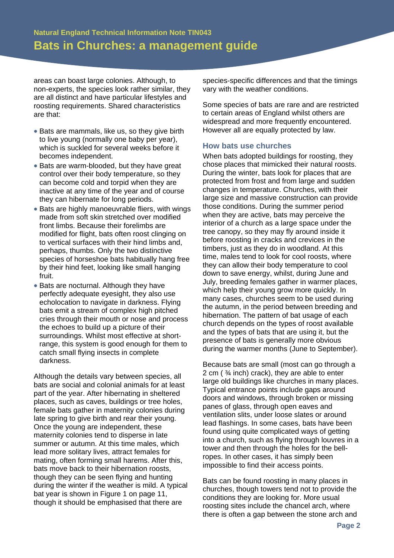areas can boast large colonies. Although, to non-experts, the species look rather similar, they are all distinct and have particular lifestyles and roosting requirements. Shared characteristics are that:

- Bats are mammals, like us, so they give birth to live young (normally one baby per year), which is suckled for several weeks before it becomes independent.
- Bats are warm-blooded, but they have great control over their body temperature, so they can become cold and torpid when they are inactive at any time of the year and of course they can hibernate for long periods.
- Bats are highly manoeuvrable fliers, with wings made from soft skin stretched over modified front limbs. Because their forelimbs are modified for flight, bats often roost clinging on to vertical surfaces with their hind limbs and, perhaps, thumbs. Only the two distinctive species of horseshoe bats habitually hang free by their hind feet, looking like small hanging fruit.
- Bats are nocturnal. Although they have perfectly adequate eyesight, they also use echolocation to navigate in darkness. Flying bats emit a stream of complex high pitched cries through their mouth or nose and process the echoes to build up a picture of their surroundings. Whilst most effective at shortrange, this system is good enough for them to catch small flying insects in complete darkness.

Although the details vary between species, all bats are social and colonial animals for at least part of the year. After hibernating in sheltered places, such as caves, buildings or tree holes, female bats gather in maternity colonies during late spring to give birth and rear their young. Once the young are independent, these maternity colonies tend to disperse in late summer or autumn. At this time males, which lead more solitary lives, attract females for mating, often forming small harems. After this, bats move back to their hibernation roosts, though they can be seen flying and hunting during the winter if the weather is mild. A typical bat year is shown in Figure 1 on page 11, though it should be emphasised that there are

species-specific differences and that the timings vary with the weather conditions.

Some species of bats are rare and are restricted to certain areas of England whilst others are widespread and more frequently encountered. However all are equally protected by law.

## **How bats use churches**

When bats adopted buildings for roosting, they chose places that mimicked their natural roosts. During the winter, bats look for places that are protected from frost and from large and sudden changes in temperature. Churches, with their large size and massive construction can provide those conditions. During the summer period when they are active, bats may perceive the interior of a church as a large space under the tree canopy, so they may fly around inside it before roosting in cracks and crevices in the timbers, just as they do in woodland. At this time, males tend to look for cool roosts, where they can allow their body temperature to cool down to save energy, whilst, during June and July, breeding females gather in warmer places, which help their young grow more quickly. In many cases, churches seem to be used during the autumn, in the period between breeding and hibernation. The pattern of bat usage of each church depends on the types of roost available and the types of bats that are using it, but the presence of bats is generally more obvious during the warmer months (June to September).

Because bats are small (most can go through a 2 cm ( ¾ inch) crack), they are able to enter large old buildings like churches in many places. Typical entrance points include gaps around doors and windows, through broken or missing panes of glass, through open eaves and ventilation slits, under loose slates or around lead flashings. In some cases, bats have been found using quite complicated ways of getting into a church, such as flying through louvres in a tower and then through the holes for the bellropes. In other cases, it has simply been impossible to find their access points.

Bats can be found roosting in many places in churches, though towers tend not to provide the conditions they are looking for. More usual roosting sites include the chancel arch, where there is often a gap between the stone arch and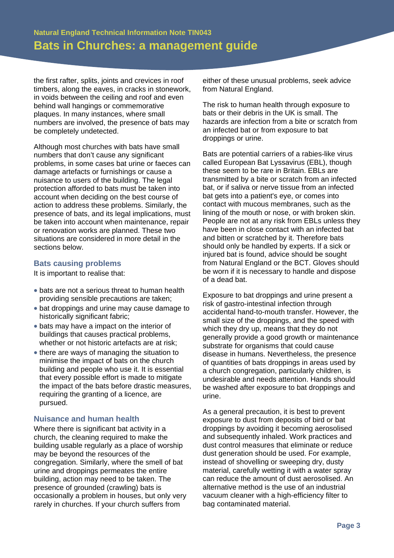the first rafter, splits, joints and crevices in roof timbers, along the eaves, in cracks in stonework, in voids between the ceiling and roof and even behind wall hangings or commemorative plaques. In many instances, where small numbers are involved, the presence of bats may be completely undetected.

Although most churches with bats have small numbers that don't cause any significant problems, in some cases bat urine or faeces can damage artefacts or furnishings or cause a nuisance to users of the building. The legal protection afforded to bats must be taken into account when deciding on the best course of action to address these problems. Similarly, the presence of bats, and its legal implications, must be taken into account when maintenance, repair or renovation works are planned. These two situations are considered in more detail in the sections below.

#### **Bats causing problems**

It is important to realise that:

- bats are not a serious threat to human health providing sensible precautions are taken;
- bat droppings and urine may cause damage to historically significant fabric;
- bats may have a impact on the interior of buildings that causes practical problems, whether or not historic artefacts are at risk;
- there are ways of managing the situation to minimise the impact of bats on the church building and people who use it. It is essential that every possible effort is made to mitigate the impact of the bats before drastic measures, requiring the granting of a licence, are pursued.

## **Nuisance and human health**

Where there is significant bat activity in a church, the cleaning required to make the building usable regularly as a place of worship may be beyond the resources of the congregation. Similarly, where the smell of bat urine and droppings permeates the entire building, action may need to be taken. The presence of grounded (crawling) bats is occasionally a problem in houses, but only very rarely in churches. If your church suffers from

either of these unusual problems, seek advice from Natural England.

The risk to human health through exposure to bats or their debris in the UK is small. The hazards are infection from a bite or scratch from an infected bat or from exposure to bat droppings or urine.

Bats are potential carriers of a rabies-like virus called European Bat Lyssavirus (EBL), though these seem to be rare in Britain. EBLs are transmitted by a bite or scratch from an infected bat, or if saliva or nerve tissue from an infected bat gets into a patient's eye, or comes into contact with mucous membranes, such as the lining of the mouth or nose, or with broken skin. People are not at any risk from EBLs unless they have been in close contact with an infected bat and bitten or scratched by it. Therefore bats should only be handled by experts. If a sick or injured bat is found, advice should be sought from Natural England or the BCT. Gloves should be worn if it is necessary to handle and dispose of a dead bat.

Exposure to bat droppings and urine present a risk of gastro-intestinal infection through accidental hand-to-mouth transfer. However, the small size of the droppings, and the speed with which they dry up, means that they do not generally provide a good growth or maintenance substrate for organisms that could cause disease in humans. Nevertheless, the presence of quantities of bats droppings in areas used by a church congregation, particularly children, is undesirable and needs attention. Hands should be washed after exposure to bat droppings and urine.

As a general precaution, it is best to prevent exposure to dust from deposits of bird or bat droppings by avoiding it becoming aerosolised and subsequently inhaled. Work practices and dust control measures that eliminate or reduce dust generation should be used. For example, instead of shovelling or sweeping dry, dusty material, carefully wetting it with a water spray can reduce the amount of dust aerosolised. An alternative method is the use of an industrial vacuum cleaner with a high-efficiency filter to bag contaminated material.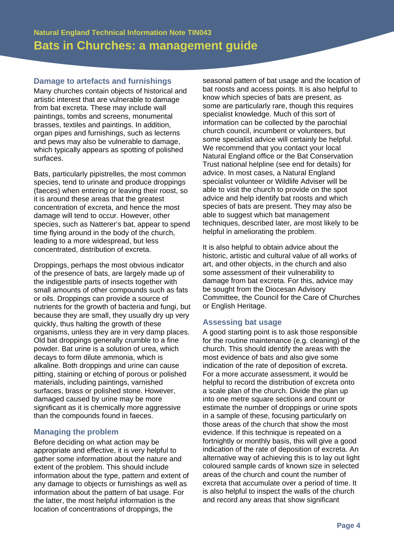### **Damage to artefacts and furnishings**

Many churches contain objects of historical and artistic interest that are vulnerable to damage from bat excreta. These may include wall paintings, tombs and screens, monumental brasses, textiles and paintings. In addition, organ pipes and furnishings, such as lecterns and pews may also be vulnerable to damage, which typically appears as spotting of polished surfaces.

Bats, particularly pipistrelles, the most common species, tend to urinate and produce droppings (faeces) when entering or leaving their roost, so it is around these areas that the greatest concentration of excreta, and hence the most damage will tend to occur. However, other species, such as Natterer's bat, appear to spend time flying around in the body of the church, leading to a more widespread, but less concentrated, distribution of excreta.

Droppings, perhaps the most obvious indicator of the presence of bats, are largely made up of the indigestible parts of insects together with small amounts of other compounds such as fats or oils. Droppings can provide a source of nutrients for the growth of bacteria and fungi, but because they are small, they usually dry up very quickly, thus halting the growth of these organisms, unless they are in very damp places. Old bat droppings generally crumble to a fine powder. Bat urine is a solution of urea, which decays to form dilute ammonia, which is alkaline. Both droppings and urine can cause pitting, staining or etching of porous or polished materials, including paintings, varnished surfaces, brass or polished stone. However, damaged caused by urine may be more significant as it is chemically more aggressive than the compounds found in faeces.

## **Managing the problem**

Before deciding on what action may be appropriate and effective, it is very helpful to gather some information about the nature and extent of the problem. This should include information about the type, pattern and extent of any damage to objects or furnishings as well as information about the pattern of bat usage. For the latter, the most helpful information is the location of concentrations of droppings, the

seasonal pattern of bat usage and the location of bat roosts and access points. It is also helpful to know which species of bats are present, as some are particularly rare, though this requires specialist knowledge. Much of this sort of information can be collected by the parochial church council, incumbent or volunteers, but some specialist advice will certainly be helpful. We recommend that you contact your local Natural England office or the Bat Conservation Trust national helpline (see end for details) for advice. In most cases, a Natural England specialist volunteer or Wildlife Adviser will be able to visit the church to provide on the spot advice and help identify bat roosts and which species of bats are present. They may also be able to suggest which bat management techniques, described later, are most likely to be helpful in ameliorating the problem.

It is also helpful to obtain advice about the historic, artistic and cultural value of all works of art, and other objects, in the church and also some assessment of their vulnerability to damage from bat excreta. For this, advice may be sought from the Diocesan Advisory Committee, the Council for the Care of Churches or English Heritage.

## **Assessing bat usage**

A good starting point is to ask those responsible for the routine maintenance (e.g. cleaning) of the church. This should identify the areas with the most evidence of bats and also give some indication of the rate of deposition of excreta. For a more accurate assessment, it would be helpful to record the distribution of excreta onto a scale plan of the church. Divide the plan up into one metre square sections and count or estimate the number of droppings or urine spots in a sample of these, focusing particularly on those areas of the church that show the most evidence. If this technique is repeated on a fortnightly or monthly basis, this will give a good indication of the rate of deposition of excreta. An alternative way of achieving this is to lay out light coloured sample cards of known size in selected areas of the church and count the number of excreta that accumulate over a period of time. It is also helpful to inspect the walls of the church and record any areas that show significant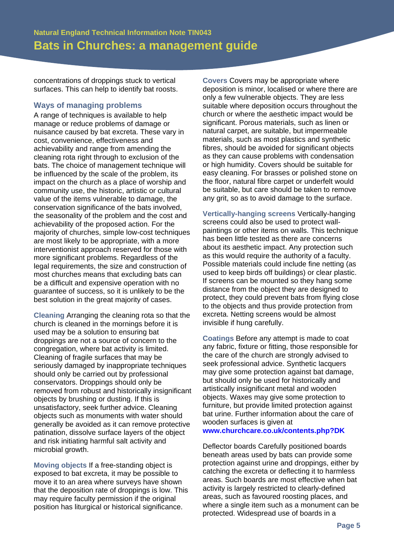concentrations of droppings stuck to vertical surfaces. This can help to identify bat roosts.

## **Ways of managing problems**

A range of techniques is available to help manage or reduce problems of damage or nuisance caused by bat excreta. These vary in cost, convenience, effectiveness and achievability and range from amending the cleaning rota right through to exclusion of the bats. The choice of management technique will be influenced by the scale of the problem, its impact on the church as a place of worship and community use, the historic, artistic or cultural value of the items vulnerable to damage, the conservation significance of the bats involved, the seasonality of the problem and the cost and achievability of the proposed action. For the majority of churches, simple low-cost techniques are most likely to be appropriate, with a more interventionist approach reserved for those with more significant problems. Regardless of the legal requirements, the size and construction of most churches means that excluding bats can be a difficult and expensive operation with no guarantee of success, so it is unlikely to be the best solution in the great majority of cases.

**Cleaning** Arranging the cleaning rota so that the church is cleaned in the mornings before it is used may be a solution to ensuring bat droppings are not a source of concern to the congregation, where bat activity is limited. Cleaning of fragile surfaces that may be seriously damaged by inappropriate techniques should only be carried out by professional conservators. Droppings should only be removed from robust and historically insignificant objects by brushing or dusting. If this is unsatisfactory, seek further advice. Cleaning objects such as monuments with water should generally be avoided as it can remove protective patination, dissolve surface layers of the object and risk initiating harmful salt activity and microbial growth.

**Moving objects** If a free-standing object is exposed to bat excreta, it may be possible to move it to an area where surveys have shown that the deposition rate of droppings is low. This may require faculty permission if the original position has liturgical or historical significance.

**Covers** Covers may be appropriate where deposition is minor, localised or where there are only a few vulnerable objects. They are less suitable where deposition occurs throughout the church or where the aesthetic impact would be significant. Porous materials, such as linen or natural carpet, are suitable, but impermeable materials, such as most plastics and synthetic fibres, should be avoided for significant objects as they can cause problems with condensation or high humidity. Covers should be suitable for easy cleaning. For brasses or polished stone on the floor, natural fibre carpet or underfelt would be suitable, but care should be taken to remove any grit, so as to avoid damage to the surface.

**Vertically-hanging screens** Vertically-hanging screens could also be used to protect wallpaintings or other items on walls. This technique has been little tested as there are concerns about its aesthetic impact. Any protection such as this would require the authority of a faculty. Possible materials could include fine netting (as used to keep birds off buildings) or clear plastic. If screens can be mounted so they hang some distance from the object they are designed to protect, they could prevent bats from flying close to the objects and thus provide protection from excreta. Netting screens would be almost invisible if hung carefully.

**Coatings** Before any attempt is made to coat any fabric, fixture or fitting, those responsible for the care of the church are strongly advised to seek professional advice. Synthetic lacquers may give some protection against bat damage, but should only be used for historically and artistically insignificant metal and wooden objects. Waxes may give some protection to furniture, but provide limited protection against bat urine. Further information about the care of wooden surfaces is given at **www.churchcare.co.uk/contents.php?DK**

Deflector boards Carefully positioned boards beneath areas used by bats can provide some protection against urine and droppings, either by catching the excreta or deflecting it to harmless areas. Such boards are most effective when bat activity is largely restricted to clearly-defined areas, such as favoured roosting places, and where a single item such as a monument can be protected. Widespread use of boards in a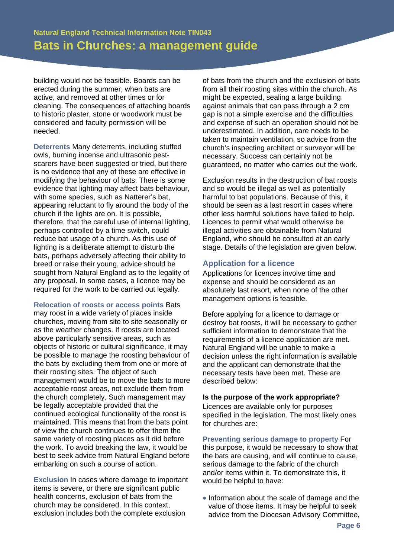building would not be feasible. Boards can be erected during the summer, when bats are active, and removed at other times or for cleaning. The consequences of attaching boards to historic plaster, stone or woodwork must be considered and faculty permission will be needed.

**Deterrents** Many deterrents, including stuffed owls, burning incense and ultrasonic pestscarers have been suggested or tried, but there is no evidence that any of these are effective in modifying the behaviour of bats. There is some evidence that lighting may affect bats behaviour, with some species, such as Natterer's bat, appearing reluctant to fly around the body of the church if the lights are on. It is possible, therefore, that the careful use of internal lighting, perhaps controlled by a time switch, could reduce bat usage of a church. As this use of lighting is a deliberate attempt to disturb the bats, perhaps adversely affecting their ability to breed or raise their young, advice should be sought from Natural England as to the legality of any proposal. In some cases, a licence may be required for the work to be carried out legally.

**Relocation of roosts or access points** Bats may roost in a wide variety of places inside churches, moving from site to site seasonally or as the weather changes. If roosts are located above particularly sensitive areas, such as objects of historic or cultural significance, it may be possible to manage the roosting behaviour of the bats by excluding them from one or more of their roosting sites. The object of such management would be to move the bats to more acceptable roost areas, not exclude them from the church completely. Such management may be legally acceptable provided that the continued ecological functionality of the roost is maintained. This means that from the bats point of view the church continues to offer them the same variety of roosting places as it did before the work. To avoid breaking the law, it would be best to seek advice from Natural England before embarking on such a course of action.

**Exclusion** In cases where damage to important items is severe, or there are significant public health concerns, exclusion of bats from the church may be considered. In this context, exclusion includes both the complete exclusion

of bats from the church and the exclusion of bats from all their roosting sites within the church. As might be expected, sealing a large building against animals that can pass through a 2 cm gap is not a simple exercise and the difficulties and expense of such an operation should not be underestimated. In addition, care needs to be taken to maintain ventilation, so advice from the church's inspecting architect or surveyor will be necessary. Success can certainly not be guaranteed, no matter who carries out the work.

Exclusion results in the destruction of bat roosts and so would be illegal as well as potentially harmful to bat populations. Because of this, it should be seen as a last resort in cases where other less harmful solutions have failed to help. Licences to permit what would otherwise be illegal activities are obtainable from Natural England, who should be consulted at an early stage. Details of the legislation are given below.

## **Application for a licence**

Applications for licences involve time and expense and should be considered as an absolutely last resort, when none of the other management options is feasible.

Before applying for a licence to damage or destroy bat roosts, it will be necessary to gather sufficient information to demonstrate that the requirements of a licence application are met. Natural England will be unable to make a decision unless the right information is available and the applicant can demonstrate that the necessary tests have been met. These are described below:

#### **Is the purpose of the work appropriate?**

Licences are available only for purposes specified in the legislation. The most likely ones for churches are:

## **Preventing serious damage to property** For

this purpose, it would be necessary to show that the bats are causing, and will continue to cause, serious damage to the fabric of the church and/or items within it. To demonstrate this, it would be helpful to have:

• Information about the scale of damage and the value of those items. It may be helpful to seek advice from the Diocesan Advisory Committee,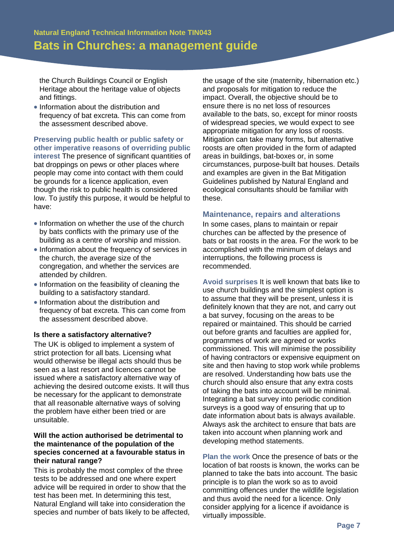the Church Buildings Council or English Heritage about the heritage value of objects and fittings.

• Information about the distribution and frequency of bat excreta. This can come from the assessment described above.

**Preserving public health or public safety or other imperative reasons of overriding public interest** The presence of significant quantities of bat droppings on pews or other places where people may come into contact with them could be grounds for a licence application, even though the risk to public health is considered low. To justify this purpose, it would be helpful to have:

- Information on whether the use of the church by bats conflicts with the primary use of the building as a centre of worship and mission.
- Information about the frequency of services in the church, the average size of the congregation, and whether the services are attended by children.
- Information on the feasibility of cleaning the building to a satisfactory standard.
- Information about the distribution and frequency of bat excreta. This can come from the assessment described above.

#### **Is there a satisfactory alternative?**

The UK is obliged to implement a system of strict protection for all bats. Licensing what would otherwise be illegal acts should thus be seen as a last resort and licences cannot be issued where a satisfactory alternative way of achieving the desired outcome exists. It will thus be necessary for the applicant to demonstrate that all reasonable alternative ways of solving the problem have either been tried or are unsuitable.

#### **Will the action authorised be detrimental to the maintenance of the population of the species concerned at a favourable status in their natural range?**

This is probably the most complex of the three tests to be addressed and one where expert advice will be required in order to show that the test has been met. In determining this test, Natural England will take into consideration the species and number of bats likely to be affected, the usage of the site (maternity, hibernation etc.) and proposals for mitigation to reduce the impact. Overall, the objective should be to ensure there is no net loss of resources available to the bats, so, except for minor roosts of widespread species, we would expect to see appropriate mitigation for any loss of roosts. Mitigation can take many forms, but alternative roosts are often provided in the form of adapted areas in buildings, bat-boxes or, in some circumstances, purpose-built bat houses. Details and examples are given in the Bat Mitigation Guidelines published by Natural England and ecological consultants should be familiar with these.

#### **Maintenance, repairs and alterations**

In some cases, plans to maintain or repair churches can be affected by the presence of bats or bat roosts in the area. For the work to be accomplished with the minimum of delays and interruptions, the following process is recommended.

**Avoid surprises** It is well known that bats like to use church buildings and the simplest option is to assume that they will be present, unless it is definitely known that they are not, and carry out a bat survey, focusing on the areas to be repaired or maintained. This should be carried out before grants and faculties are applied for, programmes of work are agreed or works commissioned. This will minimise the possibility of having contractors or expensive equipment on site and then having to stop work while problems are resolved. Understanding how bats use the church should also ensure that any extra costs of taking the bats into account will be minimal. Integrating a bat survey into periodic condition surveys is a good way of ensuring that up to date information about bats is always available. Always ask the architect to ensure that bats are taken into account when planning work and developing method statements.

**Plan the work** Once the presence of bats or the location of bat roosts is known, the works can be planned to take the bats into account. The basic principle is to plan the work so as to avoid committing offences under the wildlife legislation and thus avoid the need for a licence. Only consider applying for a licence if avoidance is virtually impossible.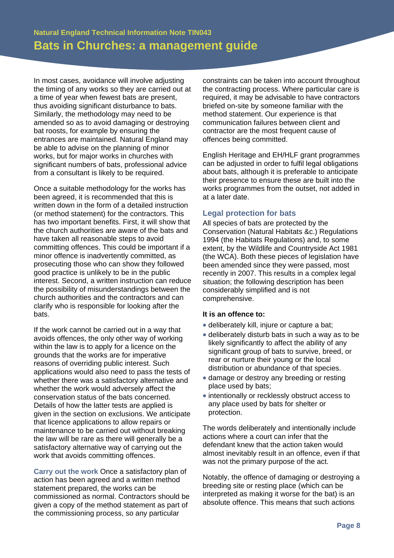In most cases, avoidance will involve adjusting the timing of any works so they are carried out at a time of year when fewest bats are present, thus avoiding significant disturbance to bats. Similarly, the methodology may need to be amended so as to avoid damaging or destroying bat roosts, for example by ensuring the entrances are maintained. Natural England may be able to advise on the planning of minor works, but for major works in churches with significant numbers of bats, professional advice from a consultant is likely to be required.

Once a suitable methodology for the works has been agreed, it is recommended that this is written down in the form of a detailed instruction (or method statement) for the contractors. This has two important benefits. First, it will show that the church authorities are aware of the bats and have taken all reasonable steps to avoid committing offences. This could be important if a minor offence is inadvertently committed, as prosecuting those who can show they followed good practice is unlikely to be in the public interest. Second, a written instruction can reduce the possibility of misunderstandings between the church authorities and the contractors and can clarify who is responsible for looking after the bats.

If the work cannot be carried out in a way that avoids offences, the only other way of working within the law is to apply for a licence on the grounds that the works are for imperative reasons of overriding public interest. Such applications would also need to pass the tests of whether there was a satisfactory alternative and whether the work would adversely affect the conservation status of the bats concerned. Details of how the latter tests are applied is given in the section on exclusions. We anticipate that licence applications to allow repairs or maintenance to be carried out without breaking the law will be rare as there will generally be a satisfactory alternative way of carrying out the work that avoids committing offences.

**Carry out the work** Once a satisfactory plan of action has been agreed and a written method statement prepared, the works can be commissioned as normal. Contractors should be given a copy of the method statement as part of the commissioning process, so any particular

constraints can be taken into account throughout the contracting process. Where particular care is required, it may be advisable to have contractors briefed on-site by someone familiar with the method statement. Our experience is that communication failures between client and contractor are the most frequent cause of offences being committed.

English Heritage and EH/HLF grant programmes can be adjusted in order to fulfil legal obligations about bats, although it is preferable to anticipate their presence to ensure these are built into the works programmes from the outset, not added in at a later date.

#### **Legal protection for bats**

All species of bats are protected by the Conservation (Natural Habitats &c.) Regulations 1994 (the Habitats Regulations) and, to some extent, by the Wildlife and Countryside Act 1981 (the WCA). Both these pieces of legislation have been amended since they were passed, most recently in 2007. This results in a complex legal situation; the following description has been considerably simplified and is not comprehensive.

#### **It is an offence to:**

- deliberately kill, injure or capture a bat:
- deliberately disturb bats in such a way as to be likely significantly to affect the ability of any significant group of bats to survive, breed, or rear or nurture their young or the local distribution or abundance of that species.
- damage or destroy any breeding or resting place used by bats;
- intentionally or recklessly obstruct access to any place used by bats for shelter or protection.

The words deliberately and intentionally include actions where a court can infer that the defendant knew that the action taken would almost inevitably result in an offence, even if that was not the primary purpose of the act.

Notably, the offence of damaging or destroying a breeding site or resting place (which can be interpreted as making it worse for the bat) is an absolute offence. This means that such actions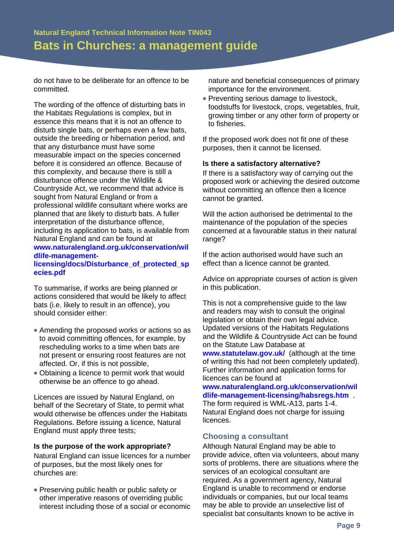do not have to be deliberate for an offence to be committed.

The wording of the offence of disturbing bats in the Habitats Regulations is complex, but in essence this means that it is not an offence to disturb single bats, or perhaps even a few bats, outside the breeding or hibernation period, and that any disturbance must have some measurable impact on the species concerned before it is considered an offence. Because of this complexity, and because there is still a disturbance offence under the Wildlife & Countryside Act, we recommend that advice is sought from Natural England or from a professional wildlife consultant where works are planned that are likely to disturb bats. A fuller interpretation of the disturbance offence, including its application to bats, is available from Natural England and can be found at **www.naturalengland.org.uk/conservation/wil dlife-management-**

#### **licensing/docs/Disturbance\_of\_protected\_sp ecies.pdf**

To summarise, if works are being planned or actions considered that would be likely to affect bats (i.e. likely to result in an offence), you should consider either:

- Amending the proposed works or actions so as to avoid committing offences, for example, by rescheduling works to a time when bats are not present or ensuring roost features are not affected. Or, if this is not possible,
- Obtaining a licence to permit work that would otherwise be an offence to go ahead.

Licences are issued by Natural England, on behalf of the Secretary of State, to permit what would otherwise be offences under the Habitats Regulations. Before issuing a licence, Natural England must apply three tests;

#### **Is the purpose of the work appropriate?**

Natural England can issue licences for a number of purposes, but the most likely ones for churches are:

• Preserving public health or public safety or other imperative reasons of overriding public interest including those of a social or economic nature and beneficial consequences of primary importance for the environment.

• Preventing serious damage to livestock, foodstuffs for livestock, crops, vegetables, fruit, growing timber or any other form of property or to fisheries.

If the proposed work does not fit one of these purposes, then it cannot be licensed.

#### **Is there a satisfactory alternative?**

If there is a satisfactory way of carrying out the proposed work or achieving the desired outcome without committing an offence then a licence cannot be granted.

Will the action authorised be detrimental to the maintenance of the population of the species concerned at a favourable status in their natural range?

If the action authorised would have such an effect than a licence cannot be granted.

Advice on appropriate courses of action is given in this publication.

This is not a comprehensive guide to the law and readers may wish to consult the original legislation or obtain their own legal advice. Updated versions of the Habitats Regulations and the Wildlife & Countryside Act can be found on the Statute Law Database at **www.statutelaw.gov.uk/** (although at the time of writing this had not been completely updated). Further information and application forms for licences can be found at **www.naturalengland.org.uk/conservation/wil**

**dlife-management-licensing/habsregs.htm** . The form required is WML-A13, parts 1-4. Natural England does not charge for issuing licences.

## **Choosing a consultant**

Although Natural England may be able to provide advice, often via volunteers, about many sorts of problems, there are situations where the services of an ecological consultant are required. As a government agency, Natural England is unable to recommend or endorse individuals or companies, but our local teams may be able to provide an unselective list of specialist bat consultants known to be active in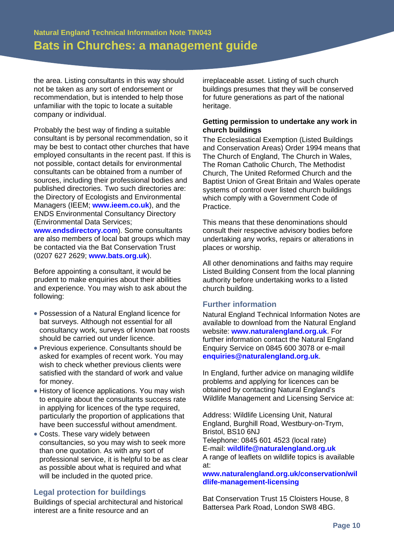the area. Listing consultants in this way should not be taken as any sort of endorsement or recommendation, but is intended to help those unfamiliar with the topic to locate a suitable company or individual.

Probably the best way of finding a suitable consultant is by personal recommendation, so it may be best to contact other churches that have employed consultants in the recent past. If this is not possible, contact details for environmental consultants can be obtained from a number of sources, including their professional bodies and published directories. Two such directories are: the Directory of Ecologists and Environmental Managers (IEEM; **www.ieem.co.uk**), and the ENDS Environmental Consultancy Directory (Environmental Data Services; **www.endsdirectory.com**). Some consultants are also members of local bat groups which may be contacted via the Bat Conservation Trust (0207 627 2629; **www.bats.org.uk**).

Before appointing a consultant, it would be prudent to make enquiries about their abilities and experience. You may wish to ask about the following:

- Possession of a Natural England licence for bat surveys. Although not essential for all consultancy work, surveys of known bat roosts should be carried out under licence.
- Previous experience. Consultants should be asked for examples of recent work. You may wish to check whether previous clients were satisfied with the standard of work and value for money.
- History of licence applications. You may wish to enquire about the consultants success rate in applying for licences of the type required, particularly the proportion of applications that have been successful without amendment.
- Costs. These vary widely between consultancies, so you may wish to seek more than one quotation. As with any sort of professional service, it is helpful to be as clear as possible about what is required and what will be included in the quoted price.

## **Legal protection for buildings**

Buildings of special architectural and historical interest are a finite resource and an

irreplaceable asset. Listing of such church buildings presumes that they will be conserved for future generations as part of the national heritage.

## **Getting permission to undertake any work in church buildings**

The Ecclesiastical Exemption (Listed Buildings and Conservation Areas) Order 1994 means that The Church of England, The Church in Wales, The Roman Catholic Church, The Methodist Church, The United Reformed Church and the Baptist Union of Great Britain and Wales operate systems of control over listed church buildings which comply with a Government Code of Practice.

This means that these denominations should consult their respective advisory bodies before undertaking any works, repairs or alterations in places or worship.

All other denominations and faiths may require Listed Building Consent from the local planning authority before undertaking works to a listed church building.

## **Further information**

Natural England Technical Information Notes are available to download from the Natural England website: **www.naturalengland.org.uk**. For further information contact the Natural England Enquiry Service on 0845 600 3078 or e-mail **enquiries@naturalengland.org.uk**.

In England, further advice on managing wildlife problems and applying for licences can be obtained by contacting Natural England's Wildlife Management and Licensing Service at:

Address: Wildlife Licensing Unit, Natural England, Burghill Road, Westbury-on-Trym, Bristol, BS10 6NJ

Telephone: 0845 601 4523 (local rate) E-mail: **wildlife@naturalengland.org.uk** A range of leaflets on wildlife topics is available at:

#### **www.naturalengland.org.uk/conservation/wil dlife-management-licensing**

Bat Conservation Trust 15 Cloisters House, 8 Battersea Park Road, London SW8 4BG.